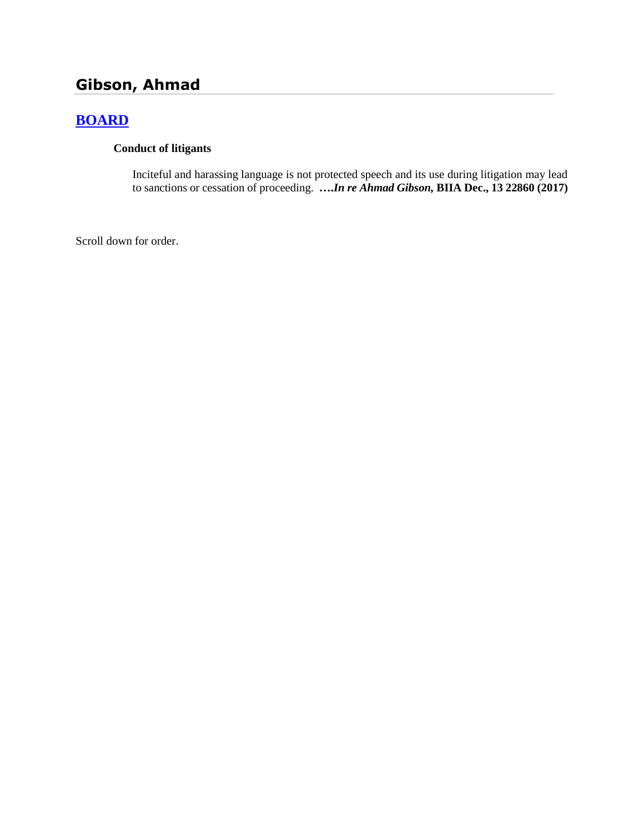# **Gibson, Ahmad**

# **[BOARD](http://www.biia.wa.gov/SDSubjectIndex.html#BOARD)**

### **Conduct of litigants**

Inciteful and harassing language is not protected speech and its use during litigation may lead to sanctions or cessation of proceeding. **….***In re Ahmad Gibson,* **BIIA Dec., 13 22860 (2017)**

Scroll down for order.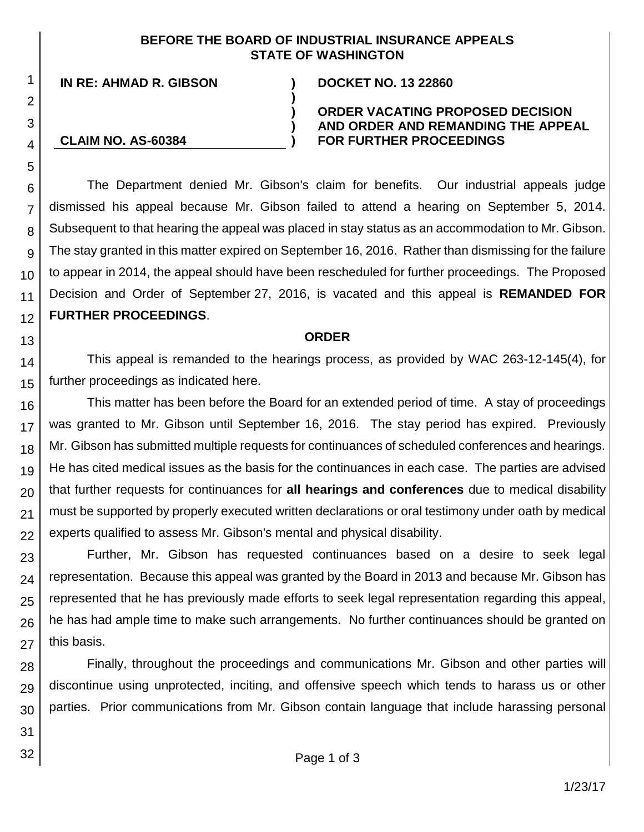## **BEFORE THE BOARD OF INDUSTRIAL INSURANCE APPEALS STATE OF WASHINGTON**

**)**

**) ) )**

**IN RE: AHMAD R. GIBSON ) DOCKET NO. 13 22860**

**CLAIM NO. AS-60384**

### **ORDER VACATING PROPOSED DECISION AND ORDER AND REMANDING THE APPEAL FOR FURTHER PROCEEDINGS**

The Department denied Mr. Gibson's claim for benefits. Our industrial appeals judge dismissed his appeal because Mr. Gibson failed to attend a hearing on September 5, 2014. Subsequent to that hearing the appeal was placed in stay status as an accommodation to Mr. Gibson. The stay granted in this matter expired on September 16, 2016. Rather than dismissing for the failure to appear in 2014, the appeal should have been rescheduled for further proceedings. The Proposed Decision and Order of September 27, 2016, is vacated and this appeal is **REMANDED FOR FURTHER PROCEEDINGS**.

#### **ORDER**

This appeal is remanded to the hearings process, as provided by WAC 263-12-145(4), for further proceedings as indicated here.

This matter has been before the Board for an extended period of time. A stay of proceedings was granted to Mr. Gibson until September 16, 2016. The stay period has expired. Previously Mr. Gibson has submitted multiple requests for continuances of scheduled conferences and hearings. He has cited medical issues as the basis for the continuances in each case. The parties are advised that further requests for continuances for **all hearings and conferences** due to medical disability must be supported by properly executed written declarations or oral testimony under oath by medical experts qualified to assess Mr. Gibson's mental and physical disability.

Further, Mr. Gibson has requested continuances based on a desire to seek legal representation. Because this appeal was granted by the Board in 2013 and because Mr. Gibson has represented that he has previously made efforts to seek legal representation regarding this appeal, he has had ample time to make such arrangements. No further continuances should be granted on this basis.

28 29 30 Finally, throughout the proceedings and communications Mr. Gibson and other parties will discontinue using unprotected, inciting, and offensive speech which tends to harass us or other parties. Prior communications from Mr. Gibson contain language that include harassing personal

31

32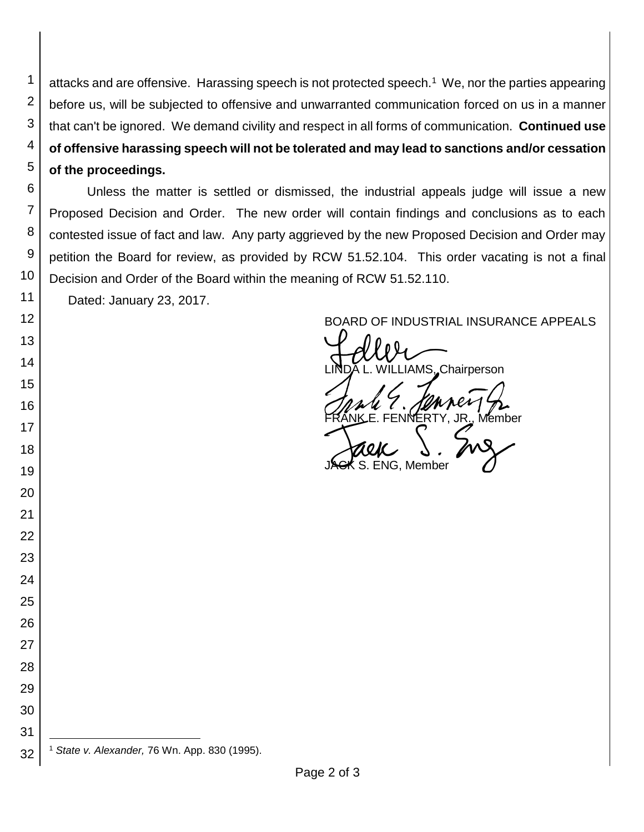attacks and are offensive. Harassing speech is not protected speech.<sup>1</sup> We, nor the parties appearing before us, will be subjected to offensive and unwarranted communication forced on us in a manner that can't be ignored. We demand civility and respect in all forms of communication. **Continued use of offensive harassing speech will not be tolerated and may lead to sanctions and/or cessation of the proceedings.**

 Unless the matter is settled or dismissed, the industrial appeals judge will issue a new Proposed Decision and Order. The new order will contain findings and conclusions as to each contested issue of fact and law. Any party aggrieved by the new Proposed Decision and Order may petition the Board for review, as provided by RCW 51.52.104. This order vacating is not a final Decision and Order of the Board within the meaning of RCW 51.52.110.

Dated: January 23, 2017.

 

 

BOARD OF INDUSTRIAL INSURANCE APPEALS<br>
LINDA L. WILLIAMS, Chairperson FRANK E. FENNERTY, JR., Member<br>FRANK E. FENNERTY, JR., Member<br>JAGK S. ENG, Member S. ENG. Member

 l *State v. Alexander,* 76 Wn. App. 830 (1995).